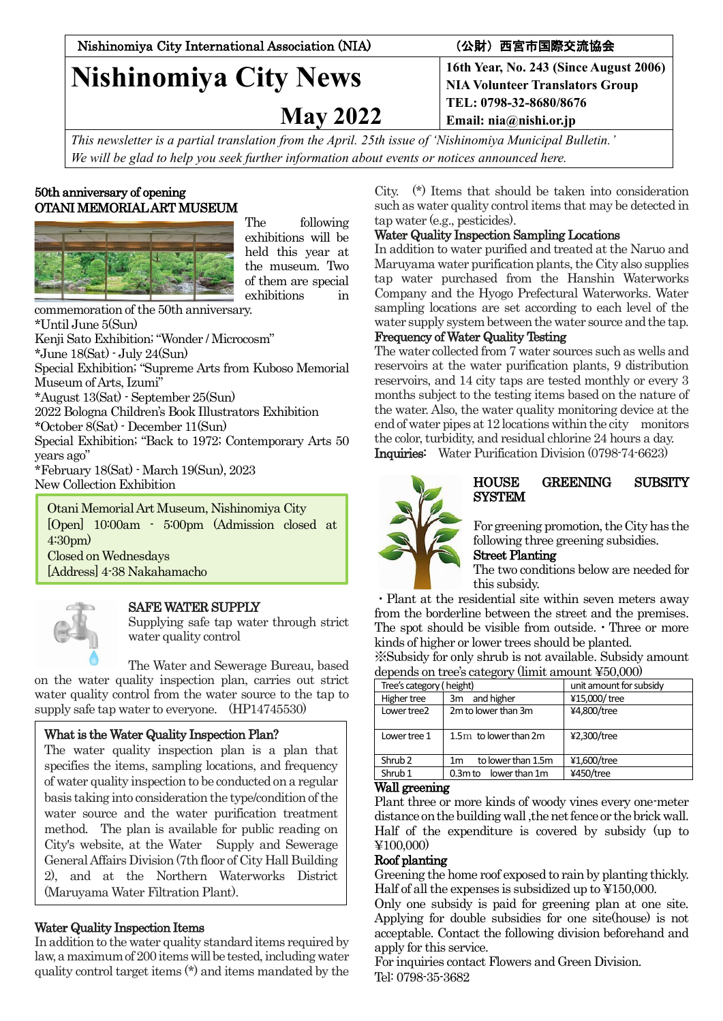Nishinomiya City International Association (NIA) (公財)西宮市国際交流協会

# **Nishinomiya City News**

 **May 2022**

**16th Year, No. 243 (Since August 2006) NIA Volunteer Translators Group TEL: 0798-32-8680/8676 Email: nia@nishi.or.jp**

*This newsletter is a partial translation from the April. 25th issue of 'Nishinomiya Municipal Bulletin.' We will be glad to help you seek further information about events or notices announced here.*

## 50th anniversary of opening OTANI MEMORIAL ART MUSEUM



The following exhibitions will be held this year at the museum. Two of them are special exhibitions in

commemoration of the 50th anniversary. \*Until June 5(Sun) Kenji Sato Exhibition;"Wonder / Microcosm" \*June 18(Sat) - July 24(Sun) Special Exhibition; "Supreme Arts from Kuboso Memorial Museum of Arts, Izumi" \*August 13(Sat) - September 25(Sun) 2022 Bologna Children's Book Illustrators Exhibition \*October 8(Sat) - December 11(Sun) Special Exhibition; "Back to 1972; Contemporary Arts 50 years ago" \*February 18(Sat) - March 19(Sun), 2023 New Collection Exhibition Otani Memorial Art Museum, Nishinomiya City

[Open] 10:00am - 5:00pm (Admission closed at 4:30pm) Closed on Wednesdays [Address] 4-38 Nakahamacho



(Tel) 0798-33-016<br>|-<br>|

# SAFE WATER SUPPLY

Supplying safe tap water through strict water quality control

The Water and Sewerage Bureau, based on the water quality inspection plan, carries out strict water quality control from the water source to the tap to supply safe tap water to everyone. (HP14745530)

# What is the Water Quality Inspection Plan?

The water quality inspection plan is a plan that specifies the items, sampling locations, and frequency of water quality inspection to be conducted on a regular basis taking into consideration the type/condition of the water source and the water purification treatment method. The plan is available for public reading on City's website, at the Water Supply and Sewerage General Affairs Division (7th floor of City Hall Building 2), and at the Northern Waterworks District (Maruyama Water Filtration Plant).

# Water Quality Inspection Items

In addition to the water quality standard items required by law, a maximum of 200 items will be tested, including water quality control target items (\*) and items mandated by the

City. (\*) Items that should be taken into consideration such as water quality control items that may be detected in tap water (e.g., pesticides).

## Water Quality Inspection Sampling Locations

In addition to water purified and treated at the Naruo and Maruyama water purification plants, the City also supplies tap water purchased from the Hanshin Waterworks Company and the Hyogo Prefectural Waterworks. Water sampling locations are set according to each level of the water supply system between the water source and the tap.

## Frequency of Water Quality Testing

The water collected from 7 water sources such as wells and reservoirs at the water purification plants, 9 distribution reservoirs, and 14 city taps are tested monthly or every 3 months subject to the testing items based on the nature of the water. Also, the water quality monitoring device at the end of water pipes at 12 locations within the city monitors the color, turbidity, and residual chlorine 24 hours a day. Inquiries: Water Purification Division (0798-74-6623)



# HOUSE GREENING SUBSITY **SYSTEM**

For greening promotion, the City has the following three greening subsidies.

Street Planting

The two conditions below are needed for this subsidy.

・Plant at the residential site within seven meters away from the borderline between the street and the premises. The spot should be visible from outside.  $\cdot$  Three or more kinds of higher or lower trees should be planted. ※Subsidy for only shrub is not available. Subsidy amount

| depends on tree's category (limit amount ¥50,000) |                                      |                         |
|---------------------------------------------------|--------------------------------------|-------------------------|
| Tree's category (height)                          |                                      | unit amount for subsidy |
| Higher tree                                       | and higher<br>3m                     | ¥15,000/tree            |
| Lower tree2                                       | 2m to lower than 3m                  | ¥4.800/tree             |
| Lower tree 1                                      | 1.5m to lower than 2m                | ¥2,300/tree             |
| Shrub <sub>2</sub>                                | to lower than 1.5m<br>1 <sub>m</sub> | ¥1,600/tree             |
| Shrub <sub>1</sub>                                | 0.3m to lower than 1m                | ¥450/tree               |

## Wall greening

Plant three or more kinds of woody vines every one-meter distance onthe building wall ,the net fence or the brick wall. Half of the expenditure is covered by subsidy (up to ¥100,000)

## Roof planting

Greening the home roof exposed to rain by planting thickly. Half of all the expenses is subsidized up to ¥150,000.

Only one subsidy is paid for greening plan at one site. Applying for double subsidies for one site(house) is not acceptable. Contact the following division beforehand and apply for this service.

For inquiries contact Flowers and Green Division. Tel: 0798-35-3682